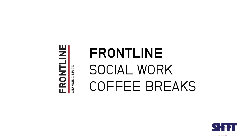**ERONTLINE** CHANGING LIVES

# FRONTLINE SOCIAL WORK COFFEE BREAKS

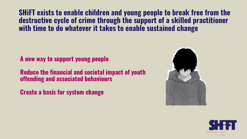**SHiFT exists to enable children and young people to break free from the destructive cycle of crime through the support of a skilled practitioner with time to do whatever it takes to enable sustained change**

**A new way to support young people**

**Reduce the financial and societal impact of youth offending and associated behaviours**

**Create a basis for system change**



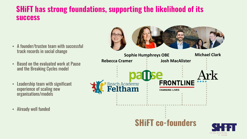# **SHiFT has strong foundations, supporting the likelihood of its success**

- A founder/trustee team with successful track records in social change
- Based on the evaluated work at Pause and the Breaking Cycles model
- Leadership team with significant experience of scaling new organisations/models
- Already well funded

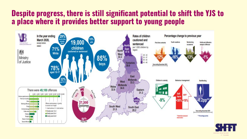# **Despite progress, there is still significant potential to shift the YJS to a place where it provides better support to young people**



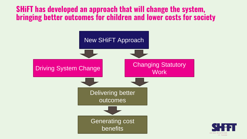# **SHiFT has developed an approach that will change the system, bringing better outcomes for children and lower costs for society**



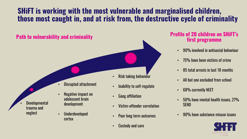# **SHiFT is working with the most vulnerable and marginalised children, those most caught in, and at risk from, the destructive cycle of criminality**

# • Disrupted attachment Risk taking behaviour • Inability to self-regulate **Path to vulnerability and criminality Path is a set of 20 children on SHiFT's Profile of 20 children on SHiFT's**

• Negative impact on adolescent brain

development

• Underdeveloped

cortex

- Gang affiliation
- Victim-offender correlation
- Poor long term outcomes
- Custody and care

# **first programme**

- 90% involved in antisocial behaviour
- 75% have been victims of crime
- 85 total arrests in last 18 months
- All but one excluded from school
- 68% currently NEET
- 50% have mental health issues, 27% **SEND**
- 90% have substance misuse issues



**Developmental** trauma and neglect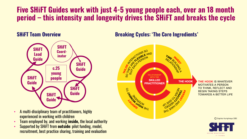# **Five SHiFT Guides work with just 4-5 young people each, over an 18 month period – this intensity and longevity drives the SHiFT and breaks the cycle**

#### **SHiFT Team Overview**



- A multi-disciplinary team of practitioners, highly experienced in working with children
- Team employed by, and working **inside,** the local authority
- Supported by SHiFT from **outside**: pilot funding, model, recruitment, best practice sharing, training and evaluation

**Breaking Cycles: 'The Core Ingredients'**



IT TAKES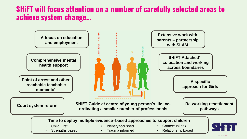# **SHiFT will focus attention on a number of carefully selected areas to achieve system change…**

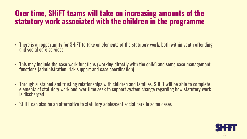# **Over time, SHiFT teams will take on increasing amounts of the statutory work associated with the children in the programme**

- There is an opportunity for SHiFT to take on elements of the statutory work, both within youth offending and social care services
- This may include the case work functions (working directly with the child) and some case management functions (administration, risk support and case coordination)
- Through sustained and trusting relationships with children and families, SHiFT will be able to complete elements of statutory work and over time seek to support system change regarding how statutory work is discharged
- SHiFT can also be an alternative to statutory adolescent social care in some cases

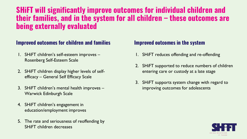# **SHiFT will significantly improve outcomes for individual children and their families, and in the system for all children – these outcomes are being externally evaluated**

#### **Improved outcomes for children and families Improved outcomes in the system**

- 1. SHiFT children's self-esteem improves Rosenberg Self-Esteem Scale
- 2. SHiFT children display higher levels of selfefficacy – General Self Efficacy Scale
- 3. SHiFT children's mental health improves Warwick Edinburgh Scale
- 4. SHiFT children's engagement in education/employment improves
- 5. The rate and seriousness of reoffending by SHiFT children decreases

- 1. SHiFT reduces offending and re-offending
- 2. SHiFT supported to reduce numbers of children entering care or custody at a late stage
- 3. SHiFT supports system change with regard to improving outcomes for adolescents

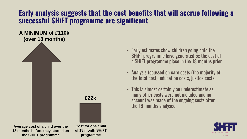# **Early analysis suggests that the cost benefits that will accrue following a successful SHiFT programme are significant**

#### **A MINIMUM of £110k (over 18 months)**



**Average cost of a child over the 18 months before they started on the SHiFT programme**

**Cost for one child of 18 month SHiFT programme**

- Early estimates show children going onto the SHiFT programme have generated 5x the cost of a SHiFT programme place in the 18 months prior
- Analysis focussed on care costs (the majority of the total cost), education costs, justice costs
- This is almost certainly an underestimate as many other costs were not included and no account was made of the ongoing costs after the 18 months analysed

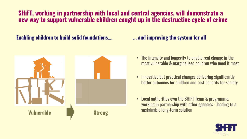#### **SHiFT, working in partnership with local and central agencies, will demonstrate a new way to support vulnerable children caught up in the destructive cycle of crime**

#### **Enabling children to build solid foundations….**



#### **… and improving the system for all**

- The intensity and longevity to enable real change in the most vulnerable & marginalised children who need it most
- Innovative but practical changes delivering significantly better outcomes for children and cost benefits for society
- Local authorities own the SHiFT Team & programme, working in partnership with other agencies - leading to a sustainable long-term solution

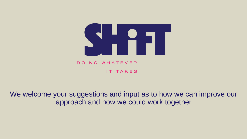

### We welcome your suggestions and input as to how we can improve our approach and how we could work together